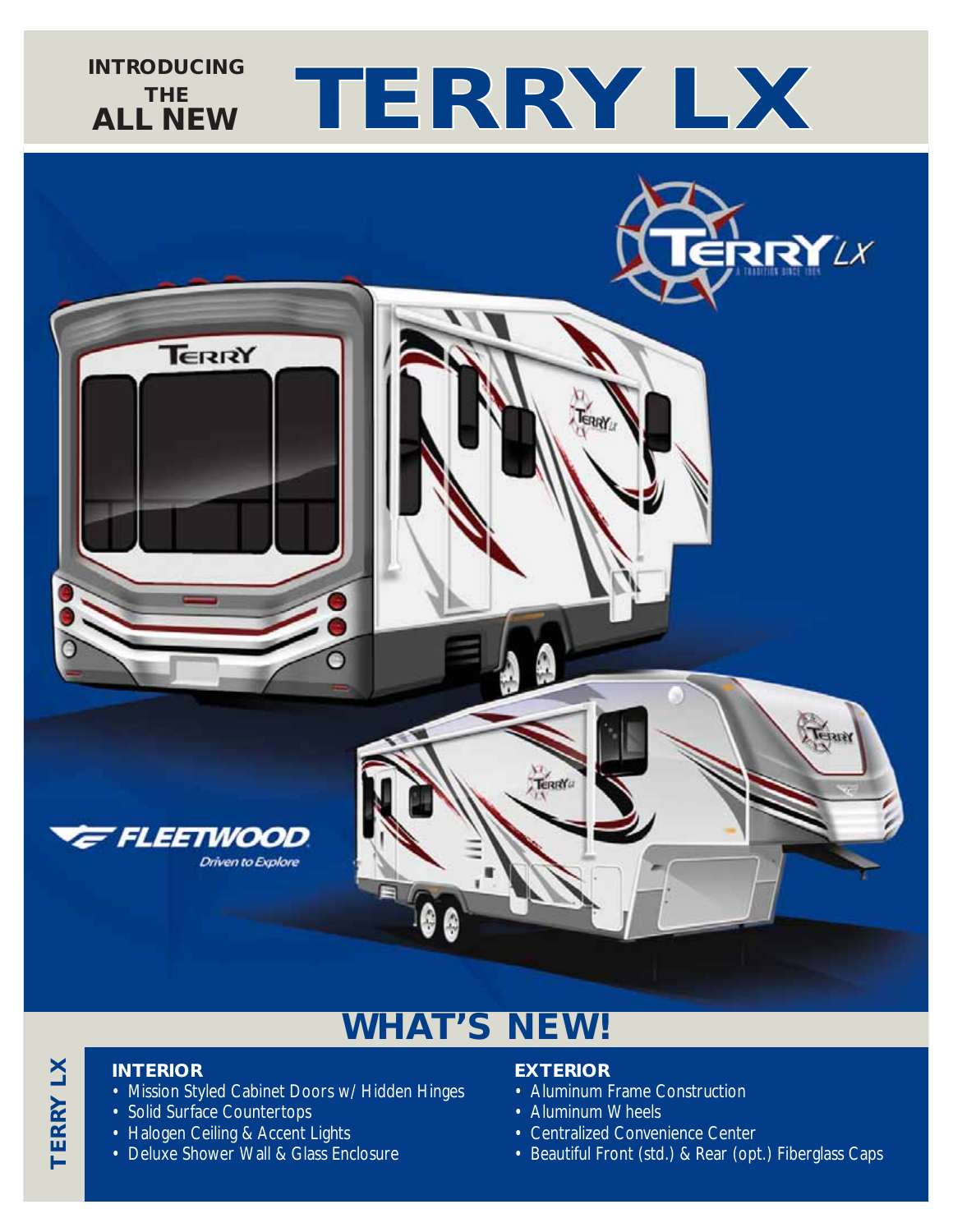

## **WHAT'S NEW!**

# TERRY LX **TERRY LX**

### **INTERIOR**

- Mission Styled Cabinet Doors w/Hidden Hinges
- Solid Surface Countertops
- Halogen Ceiling & Accent Lights
- Deluxe Shower Wall & Glass Enclosure

### **EXTERIOR**

- Aluminum Frame Construction
- Aluminum Wheels
- Centralized Convenience Center
- Beautiful Front (std.) & Rear (opt.) Fiberglass Caps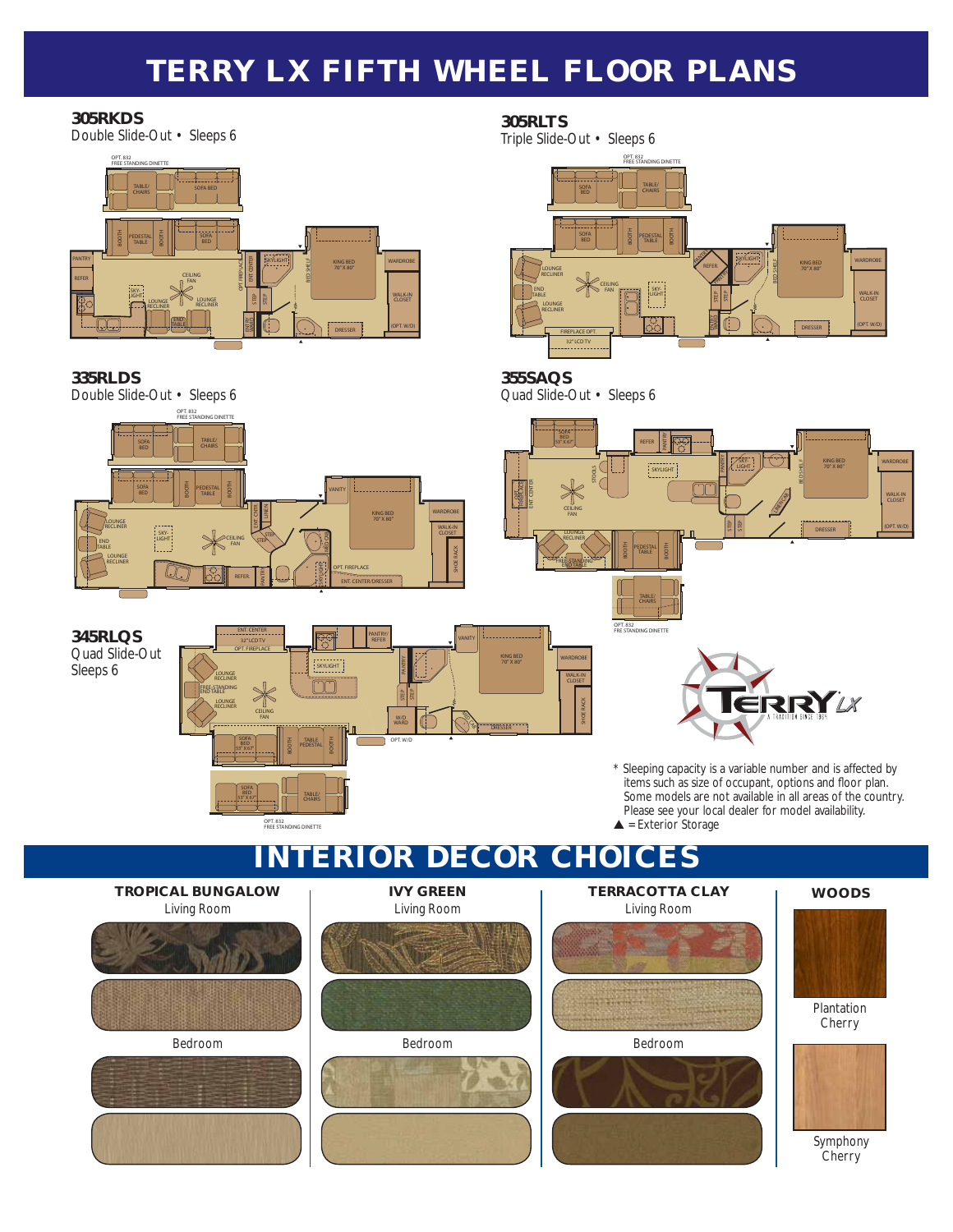### **TERRY LX FIFTH WHEEL FLOOR PLANS**

#### **305RKDS**

Double Slide-Out • Sleeps 6



#### **335RLDS**

Double Slide-Out • Sleeps 6

**305RLTS**



Symphony Cherry

#### **355SAQS**

Quad Slide-Out • Sleeps 6

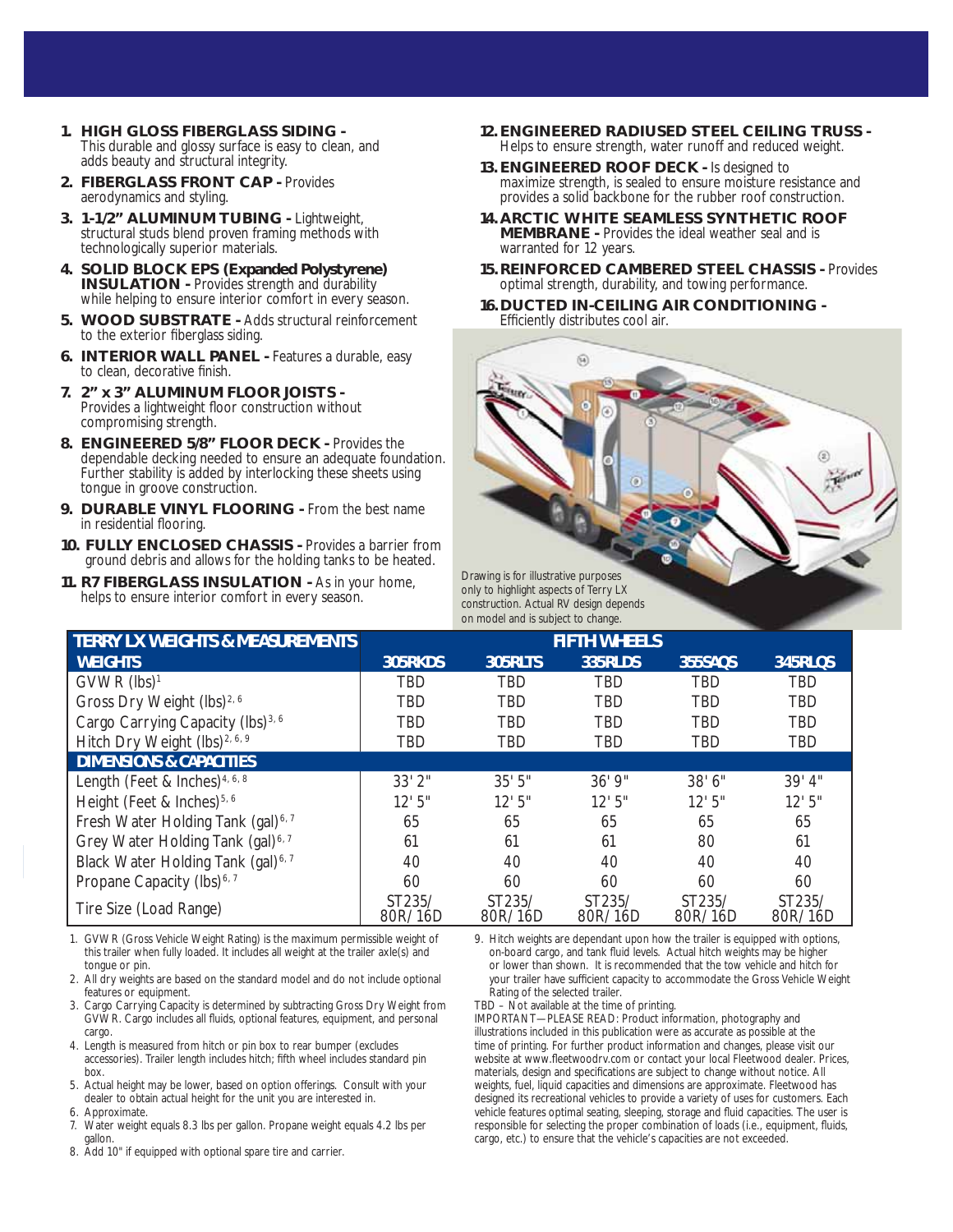- **1. HIGH GLOSS FIBERGLASS SIDING -** This durable and glossy surface is easy to clean, and adds beauty and structural integrity.
- **2. FIBERGLASS FRONT CAP -** Provides aerodynamics and styling.
- **3. 1-1/2" ALUMINUM TUBING** Lightweight, structural studs blend proven framing methods with technologically superior materials.
- **4. SOLID BLOCK EPS (Expanded Polystyrene) INSULATION - Provides strength and durability** while helping to ensure interior comfort in every season.
- **5. WOOD SUBSTRATE -** Adds structural reinforcement to the exterior fiberglass siding.
- **6. INTERIOR WALL PANEL -** Features a durable, easy to clean, decorative finish.
- **7. 2" x 3" ALUMINUM FLOOR JOISTS -** Provides a lightweight floor construction without compromising strength.
- **8. ENGINEERED 5/8" FLOOR DECK -** Provides the dependable decking needed to ensure an adequate foundation. Further stability is added by interlocking these sheets using tongue in groove construction.
- **9. DURABLE VINYL FLOORING** From the best name in residential flooring.
- **10. FULLY ENCLOSED CHASSIS -** Provides a barrier from ground debris and allows for the holding tanks to be heated.
- **11. R7 FIBERGLASS INSULATION -** As in your home, helps to ensure interior comfort in every season.
- **12. ENGINEERED RADIUSED STEEL CEILING TRUSS -** Helps to ensure strength, water runoff and reduced weight.
- **13. ENGINEERED ROOF DECK -** Is designed to maximize strength, is sealed to ensure moisture resistance and provides a solid backbone for the rubber roof construction.
- **14. ARCTIC WHITE SEAMLESS SYNTHETIC ROOF MEMBRANE -** Provides the ideal weather seal and is warranted for 12 years.
- **15. REINFORCED CAMBERED STEEL CHASSIS -** Provides optimal strength, durability, and towing performance.
- **16. DUCTED IN-CEILING AIR CONDITIONING -** Efficiently distributes cool air.



| <b>TERRY LX WEIGHTS &amp; MEASUREMENTS</b>     | <b>FIFTH WHEELS</b>            |                   |                                |                   |                                |
|------------------------------------------------|--------------------------------|-------------------|--------------------------------|-------------------|--------------------------------|
| <b>WEIGHTS</b>                                 | <b>305RKDS</b>                 | 305RLTS           | <b>335RLDS</b>                 | 355SAQS           | <b>345RLQS</b>                 |
| $GVWR$ (lbs) <sup>1</sup>                      | TBD                            | <b>TBD</b>        | TBD                            | <b>TBD</b>        | TBD                            |
| Gross Dry Weight (lbs) <sup>2, 6</sup>         | <b>TRD</b>                     | <b>TBD</b>        | TRD                            | <b>TRD</b>        | <b>TBD</b>                     |
| Cargo Carrying Capacity (lbs) <sup>3,6</sup>   | <b>TBD</b>                     | <b>TBD</b>        | TBD                            | TBD               | <b>TBD</b>                     |
| Hitch Dry Weight (lbs) <sup>2, 6, 9</sup>      | TBD                            | <b>TBD</b>        | TBD                            | TBD               | TBD                            |
| <b>DIMENSIONS &amp; CAPACITIES</b>             |                                |                   |                                |                   |                                |
| Length (Feet & Inches) $4, 6, 8$               | $33'$ $2''$                    | 35'5''            | 36'9''                         | 38' 6"            | 39' 4"                         |
| Height (Feet & Inches) <sup>5, 6</sup>         | 12'5''                         | 12'5''            | 12'5''                         | 12'5''            | 12'5''                         |
| Fresh Water Holding Tank (gal) <sup>6, 7</sup> | 65                             | 65                | 65                             | 65                | 65                             |
| Grey Water Holding Tank (gal) <sup>6, 7</sup>  | 61                             | 61                | 61                             | 80                | 61                             |
| Black Water Holding Tank (gal) <sup>6, 7</sup> | 40                             | 40                | 40                             | 40                | 40                             |
| Propane Capacity (lbs) <sup>6,7</sup>          | 60                             | 60                | 60                             | 60                | 60                             |
| Tire Size (Load Range)                         | ST <sub>235</sub> /<br>80R/16D | ST235/<br>80R/16D | ST <sub>235</sub> /<br>80R/16D | ST235/<br>80R/16D | ST <sub>235</sub> /<br>80R/16D |

1. GVWR (Gross Vehicle Weight Rating) is the maximum permissible weight of this trailer when fully loaded. It includes all weight at the trailer axle(s) and tongue or pin.

2. All dry weights are based on the standard model and do not include optional features or equipment.

- 3. Cargo Carrying Capacity is determined by subtracting Gross Dry Weight from GVWR. Cargo includes all fluids, optional features, equipment, and personal cargo.
- 4. Length is measured from hitch or pin box to rear bumper (excludes accessories). Trailer length includes hitch; fifth wheel includes standard pin box.
- 5. Actual height may be lower, based on option offerings. Consult with your dealer to obtain actual height for the unit you are interested in.

6. Approximate<br>7. Water weight

7. Water weight equals 8.3 lbs per gallon. Propane weight equals 4.2 lbs per gallon.

8. Add 10" if equipped with optional spare tire and carrier.

9. Hitch weights are dependant upon how the trailer is equipped with options, on-board cargo, and tank fluid levels. Actual hitch weights may be higher or lower than shown. It is recommended that the tow vehicle and hitch for your trailer have sufficient capacity to accommodate the Gross Vehicle Weight Rating of the selected trailer.

TBD – Not available at the time of printing.

IMPORTANT— PLEASE READ: Product information, photography and illustrations included in this publication were as accurate as possible at the time of printing. For further product information and changes, please visit our website at www.fleetwoodrv.com or contact your local Fleetwood dealer. Prices, materials, design and specifications are subject to change without notice. All weights, fuel, liquid capacities and dimensions are approximate. Fleetwood has designed its recreational vehicles to provide a variety of uses for customers. Each vehicle features optimal seating, sleeping, storage and fluid capacities. The user is responsible for selecting the proper combination of loads (i.e., equipment, fluids, cargo, etc.) to ensure that the vehicle's capacities are not exceeded.